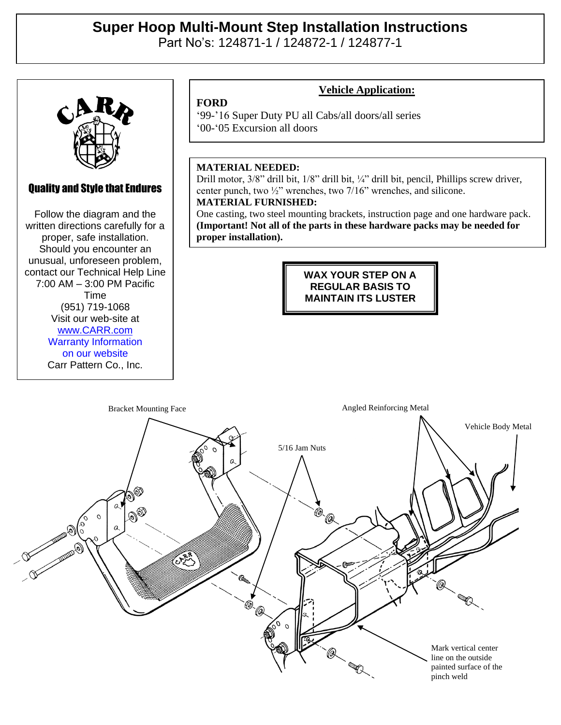# **Super Hoop Multi-Mount Step Installation Instructions**

Part No's: 124871-1 / 124872-1 / 124877-1



## Quality and Style that Endures

Quality and Style that Endures Follow the diagram and the Follow the diagram and the written directions carefully for a written directions carefully for a proper, safe installation. proper, safe installation. Should you encounter an Should you encounter an unusual, unforeseen problem, unusual, unforeseen problem, contact our Technical Help Line contact our Technical Help Line  $2:00$  AM  $-2:00$  DM Pacific  $(7:00 \text{ AM} - 3:00 \text{ PM} \text{ Pacific})$  $V = 10111$ (951) 719-1068 Visit our web-site at Time [www.CARR.com](http://www.carr.com/) Warranty Information on our website Carr Pattern Co., Inc.

### **Vehicle Application:**

'99-'16 Super Duty PU all Cabs/all doors/all series '00-'05 Excursion all doors

#### **MATERIAL NEEDED:**

**FORD**

Drill motor, 3/8" drill bit, 1/8" drill bit, ¼" drill bit, pencil, Phillips screw driver, center punch, two ½" wrenches, two 7/16" wrenches, and silicone. **MATERIAL FURNISHED:**

One casting, two steel mounting brackets, instruction page and one hardware pack. **(Important! Not all of the parts in these hardware packs may be needed for proper installation).**